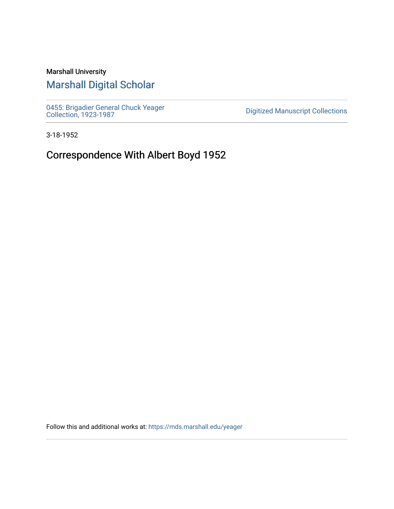## Marshall University

# [Marshall Digital Scholar](https://mds.marshall.edu/)

[0455: Brigadier General Chuck Yeager](https://mds.marshall.edu/yeager)  [Collection, 1923-1987](https://mds.marshall.edu/yeager) [Digitized Manuscript Collections](https://mds.marshall.edu/sc_digitized) 

3-18-1952

# Correspondence With Albert Boyd 1952

Follow this and additional works at: [https://mds.marshall.edu/yeager](https://mds.marshall.edu/yeager?utm_source=mds.marshall.edu%2Fyeager%2F88&utm_medium=PDF&utm_campaign=PDFCoverPages)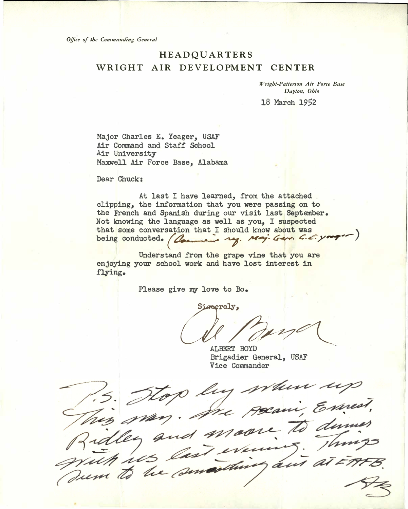*Office of the Commanding General* 

### HEADQUARTERS WRIGHT AIR DEVELOPMENT CENTER

*Wright-Patterson Air Force Base Dayton, Ohio* 

18 March 1952

Major Charles E. Yeager, USAF Air Command and Staff School Air University Maxwell Air Force Base, Alabama

Dear Chuck:

At last I have learned, from the attached clipping, the information that you were passing on to the French and Spanish during our visit last September. Not knowing the language as well as you, I suspected that some conversation that I should know about was being conducted. (Comment ry. Maj. Ger. C. c. yang-1)

Understand from the grape vine that you are enjoying your school **work** and have lost interest in flying.

Please give my love to Bo.

*CULPUS* 

ALBERT BOYD Brigadier General, USAF<br>Vice Commander

This may. The preaming Expert,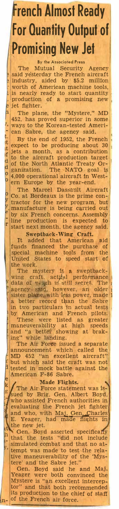# **rench Almost Ready For Quantify Output of Promising New Jet**

#### **By the Associated Press**

The Mutual Security Agency said yesterday the French aircraft . industry, aided by \$5.2 million **Worth of American machine tools,** is nearly ready to start quantity . production of a promising new jet fighter.

The plane, the "Mystere," MD 452. has proved superior in some , ways to the Korean-tested Ameri - can Sabre, the agency said.

ē b

 $\overline{\mathbf{d}}$ d  $\overline{O}$  $\overline{a}$ 

o<br>y<br>y e

 $\frac{t}{dt}$  By the end of 1952, the French  $t$  expect to be producing about 30 f jets a month, as a contribution<br>d to the aircraft production target<br>d of the North Atlantic Treaty Or-<br>a ganization. The NATO goal is 4,000 operational aircraft 1n Western Europe by the year-end.

The. Marcel Dassault Aircraft Co. at Bordeaux is the prime contractor for the new program, but . manufacture is being carried out by six French concerns. Assembly  $\Gamma$  line production is expected to start next month, the agency said.

**Sweptback-Wing Craft.**  It added that American aid funds financed the purchase of special machine tools from the United States to speed start of the work.

The mystery is a sweptbackwing craft, act $\frac{1}{2}$  performance data of wing is still secret. The  $\frac{1}{2}$ agency said, however, an older  $\vert$  $\sqrt{ }$  sister plane, with  $\ln$ l, ss power, made I a better record than the Sabre in two particulars in actual tests by American and French pilots. These were listed as greater maneuverability at high speeds and "a better showing at braking" while landing.

The Air Force issued a separate announcement which called the MD 452 "an excellent aircraft" · but which said the craft was not tested in mock battle against the American F-86 Sabre.

*\* **Made Flights. Made Flights.**  $\frac{1}{2}$  The Air Force statement was is-<br>sued by Brig. Gen. Albert Boyd, who assisted French authorities in , evaluating the French jet fighter and who, with Maj. Gen. Charles E. Yeager, had made flights in  $t$ <sup>the</sup> new jet.

 $\mathbf{a}^{\text{H}}$  Gen. Boyd asserted specifically that the tests "did not include simulated combat and that no at tempt was made to test the relative maneuverability of the 'Mystere' and the Sabre jet."

-

n

Gen. Boyd said he and Maj. Yeager were both convinced the Mystere is "an excellent interceptor" and that both recommended its production to the chief of staff of the French air force.